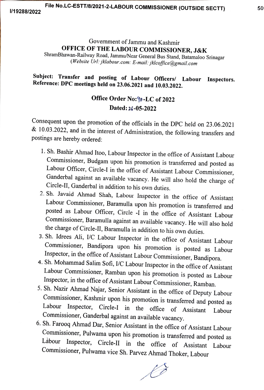## Government of Jammu and Kashmir<br>OFFICE OF THE LABOUR COMMISSIONER, J&K

ShramBhawan-Railway Road, Jammu/Near General Bus Stand, Batamaloo Srinagar (Website Url: jklabour.com: E-mail: jklcoffice@gmail.com

# Subject: Transfer and posting of Labour Officers/ Labour Inspectors. Reference: DPC meetings held on 23.06.2021 and 10.03.2022.

### Office Order No:90-LC of 2022 Dated: 26-05-2022

Consequent upon the promotion of the officials in the DPC held on 23.06.2021 & 10.03.2022, and in the interest of Administration, the following transfers and postings are hereby ordered:

- 1. Sh. Bashir Ahmad Itoo, Labour Inspector in the office of Assistant Labour Commissioner, Budgam upon his promotion is transferred and posted as Ganderbal against an available vacancy. He will also hold the charge of Circle-II, Ganderbal in addition to his own duties.<br>2. Sh. Javaid Ahmad Shah, Labour Inspector in the office of Assistant
- Labour Commissioner, Baramulla upon his promotion is transferred and<br>posted as Labour Officer, Circle -I in the office of Assistant Labour commissioner, Baramulla against an available vacancy. He will also hold the charge of Circle-II, Baramulla in addition to his own duties.<br>3. Sh. Idrees Ali, I/C Labour Inspector in the office of Assistant Labour
- Commissioner, Bandipora upon his promotion is posted as Labour<br>Inspector, in the office of Assistant Labour Commissioner, Bandipora.
- 
- 4. Sh. Mohammad Salim Sofi, *I/C* Labour Inspector in the office of Assistant<br>Labour Commissioner, Ramban upon his promotion is posted as Labour<br>Inspector, in the office of Assistant Labour Commissioner, Ramban.<br>5. Sh. Naz
- 

 $\sqrt{3}$